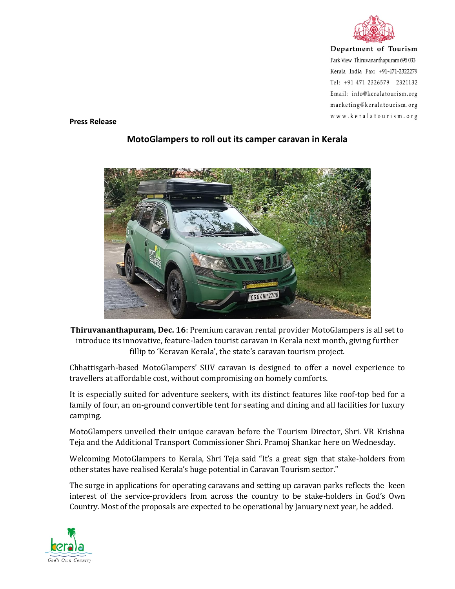

Department of Tourism Park View Thiruvananthapuram 695 033 Kerala India Fax: +91-471-2322279 Tel: +91-471-2326579 2321132 Email: info@keralatourism.org marketing@keralatourism.org www.keralatourism.org

Press Release



## MotoGlampers to roll out its camper caravan in Kerala

Thiruvananthapuram, Dec. 16: Premium caravan rental provider MotoGlampers is all set to introduce its innovative, feature-laden tourist caravan in Kerala next month, giving further fillip to 'Keravan Kerala', the state's caravan tourism project.

Chhattisgarh-based MotoGlampers' SUV caravan is designed to offer a novel experience to travellers at affordable cost, without compromising on homely comforts.

It is especially suited for adventure seekers, with its distinct features like roof-top bed for a family of four, an on-ground convertible tent for seating and dining and all facilities for luxury camping.

MotoGlampers unveiled their unique caravan before the Tourism Director, Shri. VR Krishna Teja and the Additional Transport Commissioner Shri. Pramoj Shankar here on Wednesday.

Welcoming MotoGlampers to Kerala, Shri Teja said "It's a great sign that stake-holders from other states have realised Kerala's huge potential in Caravan Tourism sector."

The surge in applications for operating caravans and setting up caravan parks reflects the keen interest of the service-providers from across the country to be stake-holders in God's Own Country. Most of the proposals are expected to be operational by January next year, he added.